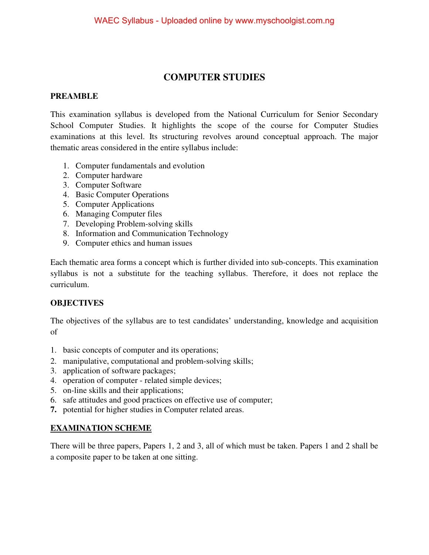# **COMPUTER STUDIES**

### **PREAMBLE**

This examination syllabus is developed from the National Curriculum for Senior Secondary School Computer Studies. It highlights the scope of the course for Computer Studies examinations at this level. Its structuring revolves around conceptual approach. The major thematic areas considered in the entire syllabus include:

- 1. Computer fundamentals and evolution
- 2. Computer hardware
- 3. Computer Software
- 4. Basic Computer Operations
- 5. Computer Applications
- 6. Managing Computer files
- 7. Developing Problem-solving skills
- 8. Information and Communication Technology
- 9. Computer ethics and human issues

Each thematic area forms a concept which is further divided into sub-concepts. This examination syllabus is not a substitute for the teaching syllabus. Therefore, it does not replace the curriculum.

## **OBJECTIVES**

The objectives of the syllabus are to test candidates' understanding, knowledge and acquisition of

- 1. basic concepts of computer and its operations;
- 2. manipulative, computational and problem-solving skills;
- 3. application of software packages;
- 4. operation of computer related simple devices;
- 5. on-line skills and their applications;
- 6. safe attitudes and good practices on effective use of computer;
- **7.** potential for higher studies in Computer related areas.

### **EXAMINATION SCHEME**

There will be three papers, Papers 1, 2 and 3, all of which must be taken. Papers 1 and 2 shall be a composite paper to be taken at one sitting.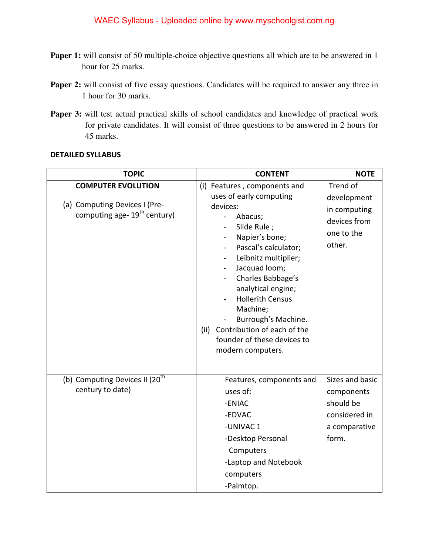- Paper 1: will consist of 50 multiple-choice objective questions all which are to be answered in 1 hour for 25 marks.
- **Paper 2:** will consist of five essay questions. Candidates will be required to answer any three in 1 hour for 30 marks.
- Paper 3: will test actual practical skills of school candidates and knowledge of practical work for private candidates. It will consist of three questions to be answered in 2 hours for 45 marks.

#### **DETAILED SYLLABUS**

| <b>TOPIC</b>                                                                                           | <b>CONTENT</b>                                                                                                                                                                                                                                                                                                                                                                                                                                                                                   | <b>NOTE</b>                                                                           |
|--------------------------------------------------------------------------------------------------------|--------------------------------------------------------------------------------------------------------------------------------------------------------------------------------------------------------------------------------------------------------------------------------------------------------------------------------------------------------------------------------------------------------------------------------------------------------------------------------------------------|---------------------------------------------------------------------------------------|
| <b>COMPUTER EVOLUTION</b><br>(a) Computing Devices I (Pre-<br>computing age- 19 <sup>th</sup> century) | (i) Features, components and<br>uses of early computing<br>devices:<br>Abacus;<br>$\blacksquare$<br>Slide Rule;<br>Napier's bone;<br>$\blacksquare$<br>Pascal's calculator;<br>$\blacksquare$<br>Leibnitz multiplier;<br>Jacquad loom;<br>$\blacksquare$<br>Charles Babbage's<br>$\blacksquare$<br>analytical engine;<br><b>Hollerith Census</b><br>$\blacksquare$<br>Machine;<br>Burrough's Machine.<br>Contribution of each of the<br>(ii)<br>founder of these devices to<br>modern computers. | Trend of<br>development<br>in computing<br>devices from<br>one to the<br>other.       |
| (b) Computing Devices II (20 <sup>th</sup><br>century to date)                                         | Features, components and<br>uses of:<br>-ENIAC<br>-EDVAC<br>-UNIVAC 1<br>-Desktop Personal<br>Computers<br>-Laptop and Notebook<br>computers<br>-Palmtop.                                                                                                                                                                                                                                                                                                                                        | Sizes and basic<br>components<br>should be<br>considered in<br>a comparative<br>form. |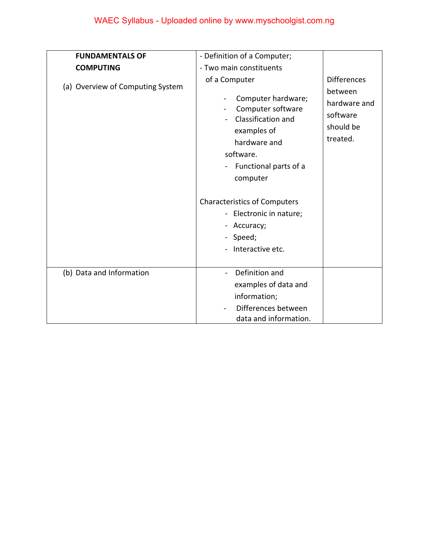| <b>FUNDAMENTALS OF</b>           | - Definition of a Computer;                                                                                                                                                       |                                                                                    |
|----------------------------------|-----------------------------------------------------------------------------------------------------------------------------------------------------------------------------------|------------------------------------------------------------------------------------|
| <b>COMPUTING</b>                 | - Two main constituents                                                                                                                                                           |                                                                                    |
| (a) Overview of Computing System | of a Computer<br>Computer hardware;<br>Computer software<br>$\blacksquare$<br>Classification and<br>examples of<br>hardware and<br>software.<br>Functional parts of a<br>computer | <b>Differences</b><br>between<br>hardware and<br>software<br>should be<br>treated. |
|                                  | <b>Characteristics of Computers</b><br>- Electronic in nature;<br>- Accuracy;<br>- Speed;<br>Interactive etc.                                                                     |                                                                                    |
| (b) Data and Information         | Definition and<br>examples of data and<br>information;<br>Differences between<br>data and information.                                                                            |                                                                                    |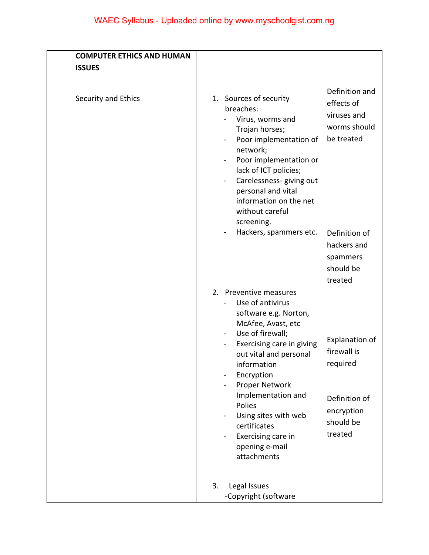| <b>COMPUTER ETHICS AND HUMAN</b> |                                                                                                                                                                                                                                                                                                                                                                                                                                                                                                                  |
|----------------------------------|------------------------------------------------------------------------------------------------------------------------------------------------------------------------------------------------------------------------------------------------------------------------------------------------------------------------------------------------------------------------------------------------------------------------------------------------------------------------------------------------------------------|
| <b>ISSUES</b>                    |                                                                                                                                                                                                                                                                                                                                                                                                                                                                                                                  |
| Security and Ethics              | Definition and<br>1. Sources of security<br>effects of<br>breaches:<br>viruses and<br>Virus, worms and<br>worms should<br>Trojan horses;<br>be treated<br>Poor implementation of<br>۰<br>network;<br>Poor implementation or<br>lack of ICT policies;<br>Carelessness- giving out<br>personal and vital<br>information on the net<br>without careful                                                                                                                                                              |
|                                  | screening.<br>Hackers, spammers etc.<br>Definition of<br>hackers and<br>spammers<br>should be<br>treated                                                                                                                                                                                                                                                                                                                                                                                                         |
|                                  | 2. Preventive measures<br>Use of antivirus<br>software e.g. Norton,<br>McAfee, Avast, etc<br>Use of firewall;<br>$\blacksquare$<br><b>Explanation of</b><br>Exercising care in giving<br>firewall is<br>out vital and personal<br>required<br>information<br>Encryption<br>Proper Network<br>$\overline{\phantom{0}}$<br>Implementation and<br>Definition of<br>Polies<br>encryption<br>Using sites with web<br>should be<br>certificates<br>treated<br>Exercising care in<br>÷<br>opening e-mail<br>attachments |
|                                  | Legal Issues<br>3.<br>-Copyright (software                                                                                                                                                                                                                                                                                                                                                                                                                                                                       |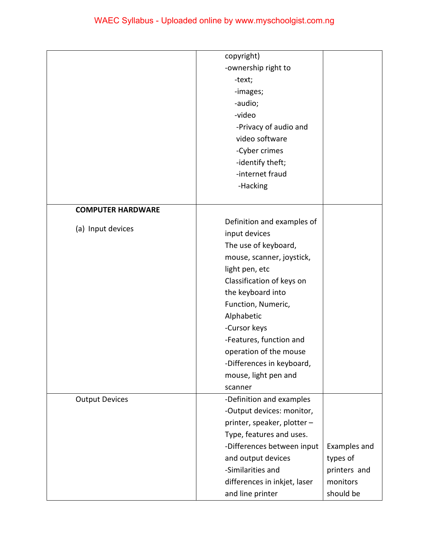|                          | copyright)                   |              |
|--------------------------|------------------------------|--------------|
|                          | -ownership right to          |              |
|                          | -text;                       |              |
|                          | -images;                     |              |
|                          | -audio;                      |              |
|                          | -video                       |              |
|                          | -Privacy of audio and        |              |
|                          | video software               |              |
|                          | -Cyber crimes                |              |
|                          | -identify theft;             |              |
|                          | -internet fraud              |              |
|                          | -Hacking                     |              |
|                          |                              |              |
| <b>COMPUTER HARDWARE</b> |                              |              |
|                          | Definition and examples of   |              |
| (a) Input devices        | input devices                |              |
|                          | The use of keyboard,         |              |
|                          | mouse, scanner, joystick,    |              |
|                          | light pen, etc               |              |
|                          | Classification of keys on    |              |
|                          | the keyboard into            |              |
|                          | Function, Numeric,           |              |
|                          | Alphabetic                   |              |
|                          | -Cursor keys                 |              |
|                          | -Features, function and      |              |
|                          | operation of the mouse       |              |
|                          | -Differences in keyboard,    |              |
|                          | mouse, light pen and         |              |
|                          | scanner                      |              |
| <b>Output Devices</b>    | -Definition and examples     |              |
|                          | -Output devices: monitor,    |              |
|                          | printer, speaker, plotter -  |              |
|                          | Type, features and uses.     |              |
|                          | -Differences between input   | Examples and |
|                          | and output devices           | types of     |
|                          | -Similarities and            | printers and |
|                          | differences in inkjet, laser | monitors     |
|                          | and line printer             | should be    |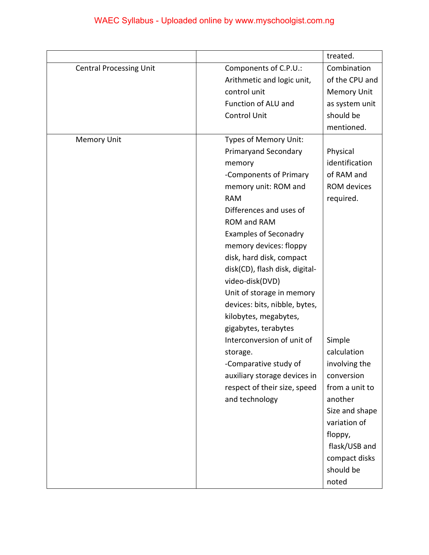|                                |                                | treated.           |
|--------------------------------|--------------------------------|--------------------|
| <b>Central Processing Unit</b> | Components of C.P.U.:          | Combination        |
|                                | Arithmetic and logic unit,     | of the CPU and     |
|                                | control unit                   | <b>Memory Unit</b> |
|                                | Function of ALU and            | as system unit     |
|                                | <b>Control Unit</b>            | should be          |
|                                |                                | mentioned.         |
| <b>Memory Unit</b>             | Types of Memory Unit:          |                    |
|                                | <b>Primaryand Secondary</b>    | Physical           |
|                                | memory                         | identification     |
|                                | -Components of Primary         | of RAM and         |
|                                | memory unit: ROM and           | ROM devices        |
|                                | <b>RAM</b>                     | required.          |
|                                | Differences and uses of        |                    |
|                                | ROM and RAM                    |                    |
|                                | <b>Examples of Seconadry</b>   |                    |
|                                | memory devices: floppy         |                    |
|                                | disk, hard disk, compact       |                    |
|                                | disk(CD), flash disk, digital- |                    |
|                                | video-disk(DVD)                |                    |
|                                | Unit of storage in memory      |                    |
|                                | devices: bits, nibble, bytes,  |                    |
|                                | kilobytes, megabytes,          |                    |
|                                | gigabytes, terabytes           |                    |
|                                | Interconversion of unit of     | Simple             |
|                                | storage.                       | calculation        |
|                                | -Comparative study of          | involving the      |
|                                | auxiliary storage devices in   | conversion         |
|                                | respect of their size, speed   | from a unit to     |
|                                | and technology                 | another            |
|                                |                                | Size and shape     |
|                                |                                | variation of       |
|                                |                                | floppy,            |
|                                |                                | flask/USB and      |
|                                |                                | compact disks      |
|                                |                                | should be          |
|                                |                                | noted              |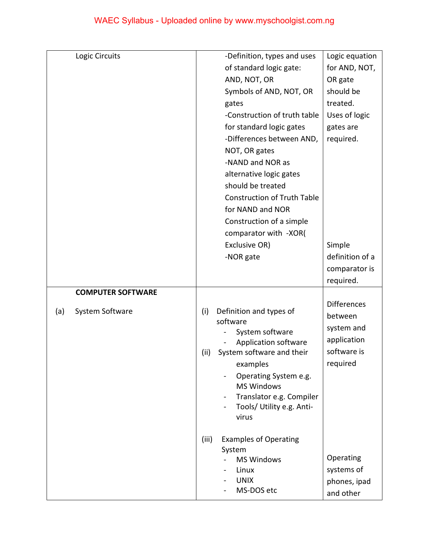| Logic Circuits           | -Definition, types and uses                                        | Logic equation     |
|--------------------------|--------------------------------------------------------------------|--------------------|
|                          | of standard logic gate:                                            | for AND, NOT,      |
|                          | AND, NOT, OR                                                       | OR gate            |
|                          | Symbols of AND, NOT, OR                                            | should be          |
|                          | gates                                                              | treated.           |
|                          | -Construction of truth table                                       | Uses of logic      |
|                          | for standard logic gates                                           | gates are          |
|                          | -Differences between AND,                                          | required.          |
|                          | NOT, OR gates                                                      |                    |
|                          | -NAND and NOR as                                                   |                    |
|                          | alternative logic gates                                            |                    |
|                          | should be treated                                                  |                    |
|                          | <b>Construction of Truth Table</b>                                 |                    |
|                          | for NAND and NOR                                                   |                    |
|                          | Construction of a simple                                           |                    |
|                          | comparator with -XOR(                                              |                    |
|                          | Exclusive OR)                                                      | Simple             |
|                          | -NOR gate                                                          | definition of a    |
|                          |                                                                    | comparator is      |
|                          |                                                                    | required.          |
| <b>COMPUTER SOFTWARE</b> |                                                                    |                    |
|                          |                                                                    | <b>Differences</b> |
| System Software<br>(a)   | Definition and types of<br>(i)<br>software                         | between            |
|                          | System software                                                    | system and         |
|                          | Application software                                               | application        |
|                          | System software and their<br>(ii)                                  | software is        |
|                          | examples                                                           | required           |
|                          | Operating System e.g.                                              |                    |
|                          | <b>MS Windows</b>                                                  |                    |
|                          | Translator e.g. Compiler                                           |                    |
|                          | Tools/ Utility e.g. Anti-<br>$\qquad \qquad \blacksquare$<br>virus |                    |
|                          |                                                                    |                    |
|                          | (iii)<br><b>Examples of Operating</b>                              |                    |
|                          | System                                                             |                    |
|                          | <b>MS Windows</b>                                                  | Operating          |
|                          | Linux                                                              | systems of         |
|                          | <b>UNIX</b>                                                        | phones, ipad       |
|                          | MS-DOS etc                                                         | and other          |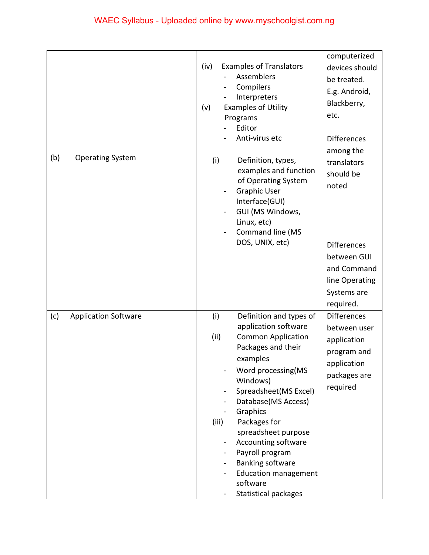|                                    |                                                                                                                                                                                                                                                                                                                                                                                                                                                                                                        | computerized                                                                                                                        |
|------------------------------------|--------------------------------------------------------------------------------------------------------------------------------------------------------------------------------------------------------------------------------------------------------------------------------------------------------------------------------------------------------------------------------------------------------------------------------------------------------------------------------------------------------|-------------------------------------------------------------------------------------------------------------------------------------|
| (b)<br><b>Operating System</b>     | (iv)<br><b>Examples of Translators</b><br>Assemblers<br>Compilers<br>Interpreters<br><b>Examples of Utility</b><br>(v)<br>Programs<br>Editor<br>Anti-virus etc                                                                                                                                                                                                                                                                                                                                         | devices should<br>be treated.<br>E.g. Android,<br>Blackberry,<br>etc.<br><b>Differences</b><br>among the                            |
|                                    | (i)<br>Definition, types,<br>examples and function<br>of Operating System<br><b>Graphic User</b><br>÷<br>Interface(GUI)<br>GUI (MS Windows,<br>Linux, etc)<br>Command line (MS<br>$\frac{1}{2}$<br>DOS, UNIX, etc)                                                                                                                                                                                                                                                                                     | translators<br>should be<br>noted<br><b>Differences</b><br>between GUI<br>and Command<br>line Operating<br>Systems are<br>required. |
| <b>Application Software</b><br>(c) | Definition and types of<br>(i)<br>application software<br>(ii)<br><b>Common Application</b><br>Packages and their<br>examples<br>Word processing(MS<br>Windows)<br>Spreadsheet(MS Excel)<br>$\qquad \qquad \blacksquare$<br>Database(MS Access)<br>Graphics<br>۰<br>Packages for<br>(iii)<br>spreadsheet purpose<br>Accounting software<br>$\sim$<br>Payroll program<br>$\blacksquare$<br><b>Banking software</b><br>$\blacksquare$<br><b>Education management</b><br>software<br>Statistical packages | <b>Differences</b><br>between user<br>application<br>program and<br>application<br>packages are<br>required                         |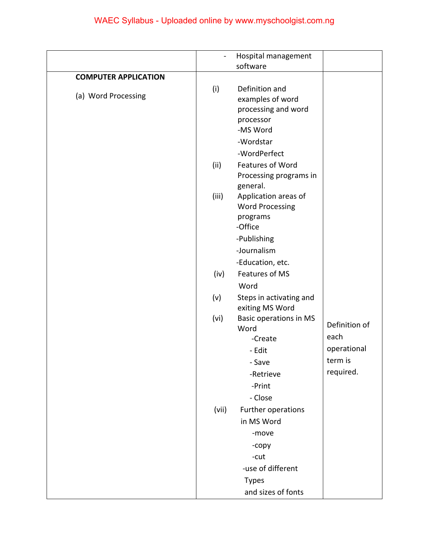|                             | $\blacksquare$ | Hospital management                                                                             |               |
|-----------------------------|----------------|-------------------------------------------------------------------------------------------------|---------------|
|                             |                | software                                                                                        |               |
| <b>COMPUTER APPLICATION</b> |                |                                                                                                 |               |
| (a) Word Processing         | (i)            | Definition and<br>examples of word<br>processing and word<br>processor<br>-MS Word<br>-Wordstar |               |
|                             |                | -WordPerfect                                                                                    |               |
|                             | (ii)           | Features of Word<br>Processing programs in                                                      |               |
|                             | (iii)          | general.<br>Application areas of<br><b>Word Processing</b><br>programs<br>-Office               |               |
|                             |                | -Publishing                                                                                     |               |
|                             |                | -Journalism                                                                                     |               |
|                             |                | -Education, etc.                                                                                |               |
|                             | (iv)           | Features of MS                                                                                  |               |
|                             |                | Word                                                                                            |               |
|                             | (v)            | Steps in activating and<br>exiting MS Word                                                      |               |
|                             | (vi)           | <b>Basic operations in MS</b><br>Word                                                           | Definition of |
|                             |                | -Create                                                                                         | each          |
|                             |                | - Edit                                                                                          | operational   |
|                             |                | - Save                                                                                          | term is       |
|                             |                | -Retrieve                                                                                       | required.     |
|                             |                | -Print                                                                                          |               |
|                             |                | - Close                                                                                         |               |
|                             | (vii)          | Further operations                                                                              |               |
|                             |                | in MS Word                                                                                      |               |
|                             |                | -move                                                                                           |               |
|                             |                | -copy                                                                                           |               |
|                             |                | -cut                                                                                            |               |
|                             |                | -use of different                                                                               |               |
|                             |                | <b>Types</b>                                                                                    |               |
|                             |                | and sizes of fonts                                                                              |               |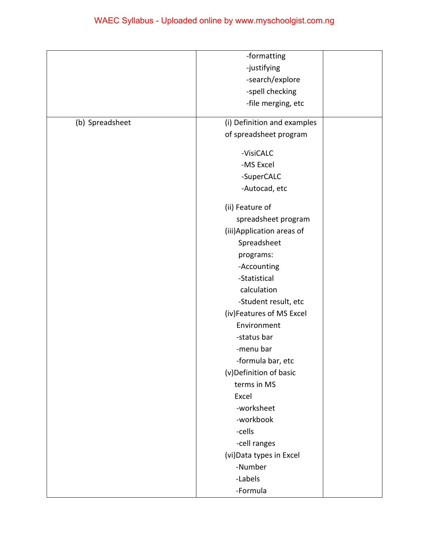|                 | -formatting                 |  |
|-----------------|-----------------------------|--|
|                 | -justifying                 |  |
|                 | -search/explore             |  |
|                 | -spell checking             |  |
|                 | -file merging, etc          |  |
| (b) Spreadsheet | (i) Definition and examples |  |
|                 | of spreadsheet program      |  |
|                 |                             |  |
|                 | -VisiCALC                   |  |
|                 | -MS Excel                   |  |
|                 | -SuperCALC                  |  |
|                 | -Autocad, etc               |  |
|                 | (ii) Feature of             |  |
|                 | spreadsheet program         |  |
|                 | (iii) Application areas of  |  |
|                 | Spreadsheet                 |  |
|                 | programs:                   |  |
|                 | -Accounting                 |  |
|                 | -Statistical                |  |
|                 | calculation                 |  |
|                 | -Student result, etc        |  |
|                 | (iv)Features of MS Excel    |  |
|                 | Environment                 |  |
|                 | -status bar                 |  |
|                 | -menu bar                   |  |
|                 | -formula bar, etc           |  |
|                 | (v)Definition of basic      |  |
|                 | terms in MS                 |  |
|                 | Excel                       |  |
|                 | -worksheet                  |  |
|                 | -workbook                   |  |
|                 | -cells                      |  |
|                 | -cell ranges                |  |
|                 | (vi) Data types in Excel    |  |
|                 | -Number                     |  |
|                 | -Labels                     |  |
|                 | -Formula                    |  |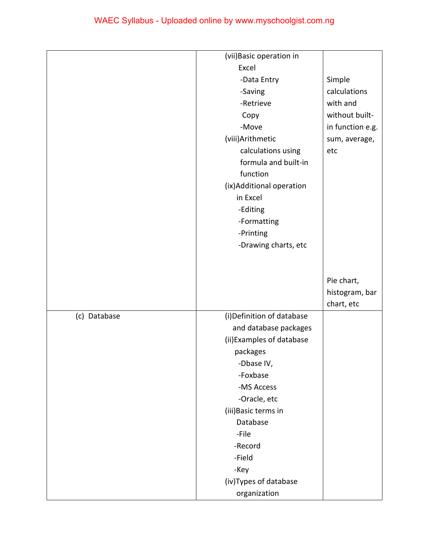|              | (vii) Basic operation in   |                  |
|--------------|----------------------------|------------------|
|              | Excel                      |                  |
|              | -Data Entry                | Simple           |
|              | -Saving                    | calculations     |
|              | -Retrieve                  | with and         |
|              | Copy                       | without built-   |
|              | -Move                      | in function e.g. |
|              | (viii) Arithmetic          | sum, average,    |
|              | calculations using         | etc              |
|              | formula and built-in       |                  |
|              | function                   |                  |
|              | (ix)Additional operation   |                  |
|              | in Excel                   |                  |
|              | -Editing                   |                  |
|              | -Formatting                |                  |
|              | -Printing                  |                  |
|              | -Drawing charts, etc       |                  |
|              |                            |                  |
|              |                            |                  |
|              |                            | Pie chart,       |
|              |                            | histogram, bar   |
|              |                            | chart, etc       |
| (c) Database | (i) Definition of database |                  |
|              | and database packages      |                  |
|              | (ii) Examples of database  |                  |
|              | packages                   |                  |
|              | -Dbase IV,                 |                  |
|              | -Foxbase                   |                  |
|              | -MS Access                 |                  |
|              | -Oracle, etc               |                  |
|              | (iii) Basic terms in       |                  |
|              | Database                   |                  |
|              | -File                      |                  |
|              | -Record                    |                  |
|              | -Field                     |                  |
|              | -Key                       |                  |
|              | (iv) Types of database     |                  |
|              |                            |                  |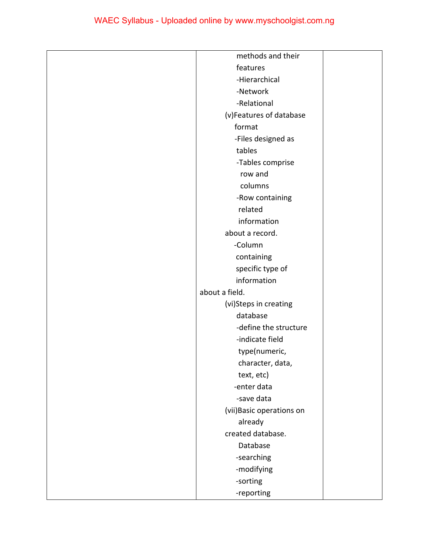| methods and their         |  |
|---------------------------|--|
| features                  |  |
| -Hierarchical             |  |
| -Network                  |  |
| -Relational               |  |
| (v)Features of database   |  |
| format                    |  |
| -Files designed as        |  |
| tables                    |  |
| -Tables comprise          |  |
| row and                   |  |
| columns                   |  |
| -Row containing           |  |
| related                   |  |
| information               |  |
| about a record.           |  |
| -Column                   |  |
| containing                |  |
| specific type of          |  |
| information               |  |
| about a field.            |  |
| (vi)Steps in creating     |  |
| database                  |  |
| -define the structure     |  |
| -indicate field           |  |
| type(numeric,             |  |
| character, data,          |  |
| text, etc)                |  |
| -enter data               |  |
| -save data                |  |
| (vii) Basic operations on |  |
| already                   |  |
| created database.         |  |
| Database                  |  |
| -searching                |  |
| -modifying                |  |
| -sorting                  |  |
| -reporting                |  |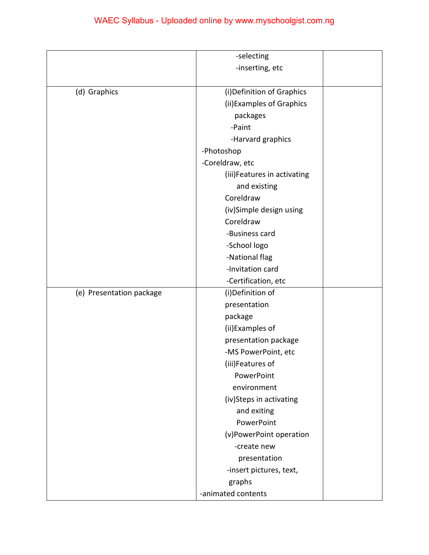|                          | -selecting                      |  |
|--------------------------|---------------------------------|--|
|                          | -inserting, etc                 |  |
|                          |                                 |  |
| (d) Graphics             | (i) Definition of Graphics      |  |
|                          | (ii) Examples of Graphics       |  |
|                          | packages                        |  |
|                          | -Paint                          |  |
|                          |                                 |  |
|                          | -Harvard graphics<br>-Photoshop |  |
|                          |                                 |  |
|                          | -Coreldraw, etc                 |  |
|                          | (iii) Features in activating    |  |
|                          | and existing                    |  |
|                          | Coreldraw                       |  |
|                          | (iv)Simple design using         |  |
|                          | Coreldraw                       |  |
|                          | -Business card                  |  |
|                          | -School logo                    |  |
|                          | -National flag                  |  |
|                          | -Invitation card                |  |
|                          | -Certification, etc             |  |
| (e) Presentation package | (i)Definition of                |  |
|                          | presentation                    |  |
|                          | package                         |  |
|                          | (ii)Examples of                 |  |
|                          | presentation package            |  |
|                          | -MS PowerPoint, etc             |  |
|                          | (iii)Features of                |  |
|                          | PowerPoint                      |  |
|                          | environment                     |  |
|                          | (iv)Steps in activating         |  |
|                          | and exiting                     |  |
|                          | PowerPoint                      |  |
|                          | (v)PowerPoint operation         |  |
|                          | -create new                     |  |
|                          | presentation                    |  |
|                          | -insert pictures, text,         |  |
|                          | graphs                          |  |
|                          | -animated contents              |  |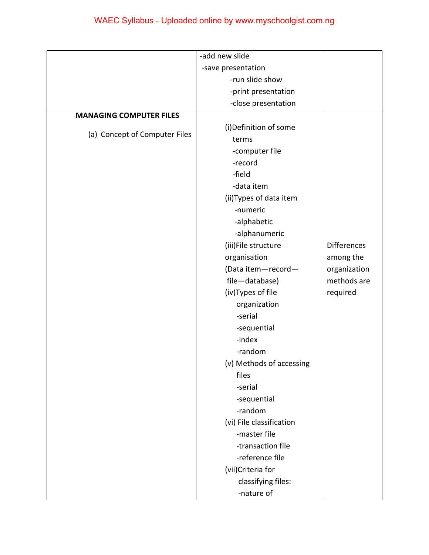|                                | -add new slide           |                    |
|--------------------------------|--------------------------|--------------------|
|                                | -save presentation       |                    |
|                                | -run slide show          |                    |
|                                | -print presentation      |                    |
|                                | -close presentation      |                    |
| <b>MANAGING COMPUTER FILES</b> |                          |                    |
|                                | (i) Definition of some   |                    |
| (a) Concept of Computer Files  | terms                    |                    |
|                                | -computer file           |                    |
|                                | -record                  |                    |
|                                | -field                   |                    |
|                                | -data item               |                    |
|                                | (ii) Types of data item  |                    |
|                                | -numeric                 |                    |
|                                | -alphabetic              |                    |
|                                | -alphanumeric            |                    |
|                                | (iii)File structure      | <b>Differences</b> |
|                                | organisation             | among the          |
|                                | (Data item-record-       | organization       |
|                                | file-database)           | methods are        |
|                                | (iv) Types of file       | required           |
|                                | organization             |                    |
|                                | -serial                  |                    |
|                                | -sequential              |                    |
|                                | -index                   |                    |
|                                | -random                  |                    |
|                                | (v) Methods of accessing |                    |
|                                | files                    |                    |
|                                | -serial                  |                    |
|                                | -sequential              |                    |
|                                | -random                  |                    |
|                                | (vi) File classification |                    |
|                                | -master file             |                    |
|                                | -transaction file        |                    |
|                                | -reference file          |                    |
|                                | (vii)Criteria for        |                    |
|                                | classifying files:       |                    |
|                                | -nature of               |                    |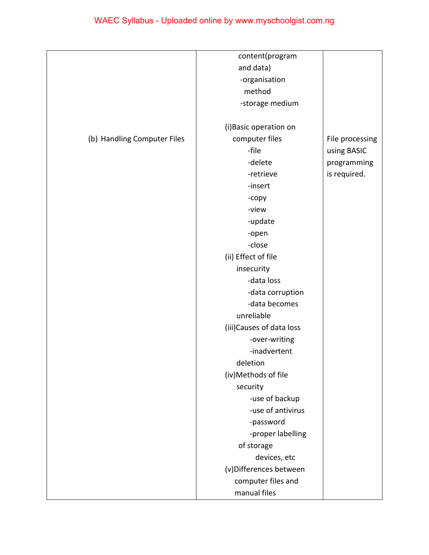|                             | content(program           |                 |
|-----------------------------|---------------------------|-----------------|
|                             | and data)                 |                 |
|                             | -organisation             |                 |
|                             | method                    |                 |
|                             | -storage medium           |                 |
|                             |                           |                 |
|                             | (i) Basic operation on    |                 |
| (b) Handling Computer Files | computer files            | File processing |
|                             | -file                     | using BASIC     |
|                             | -delete                   | programming     |
|                             | -retrieve                 | is required.    |
|                             | -insert                   |                 |
|                             | -copy                     |                 |
|                             | -view                     |                 |
|                             | -update                   |                 |
|                             | -open                     |                 |
|                             | -close                    |                 |
|                             | (ii) Effect of file       |                 |
|                             | insecurity                |                 |
|                             | -data loss                |                 |
|                             | -data corruption          |                 |
|                             | -data becomes             |                 |
|                             | unreliable                |                 |
|                             | (iii) Causes of data loss |                 |
|                             | -over-writing             |                 |
|                             | -inadvertent              |                 |
|                             | deletion                  |                 |
|                             | (iv)Methods of file       |                 |
|                             | security                  |                 |
|                             | -use of backup            |                 |
|                             | -use of antivirus         |                 |
|                             | -password                 |                 |
|                             | -proper labelling         |                 |
|                             | of storage                |                 |
|                             | devices, etc              |                 |
|                             | (v)Differences between    |                 |
|                             | computer files and        |                 |
|                             | manual files              |                 |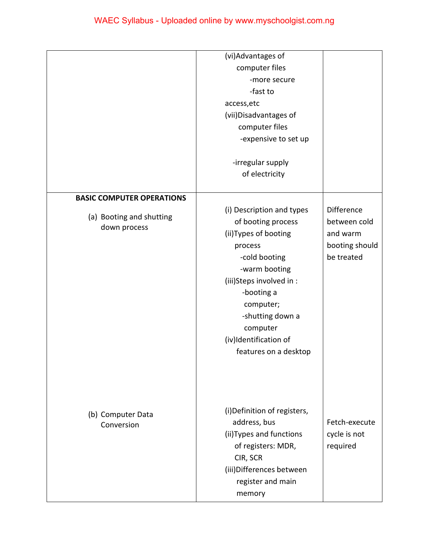|                                          | (vi)Advantages of<br>computer files<br>-more secure<br>-fast to<br>access, etc<br>(vii) Disadvantages of<br>computer files<br>-expensive to set up<br>-irregular supply<br>of electricity                                                                      |                                                                        |
|------------------------------------------|----------------------------------------------------------------------------------------------------------------------------------------------------------------------------------------------------------------------------------------------------------------|------------------------------------------------------------------------|
| <b>BASIC COMPUTER OPERATIONS</b>         |                                                                                                                                                                                                                                                                |                                                                        |
| (a) Booting and shutting<br>down process | (i) Description and types<br>of booting process<br>(ii) Types of booting<br>process<br>-cold booting<br>-warm booting<br>(iii)Steps involved in :<br>-booting a<br>computer;<br>-shutting down a<br>computer<br>(iv)Identification of<br>features on a desktop | Difference<br>between cold<br>and warm<br>booting should<br>be treated |
| (b) Computer Data<br>Conversion          | (i) Definition of registers,<br>address, bus<br>(ii) Types and functions<br>of registers: MDR,<br>CIR, SCR<br>(iii) Differences between<br>register and main<br>memory                                                                                         | Fetch-execute<br>cycle is not<br>required                              |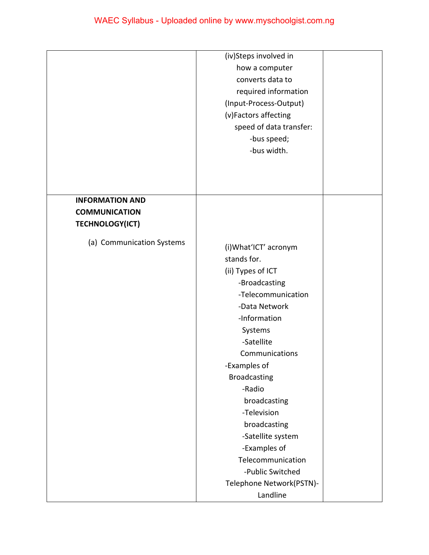|                           | (iv)Steps involved in<br>how a computer<br>converts data to<br>required information<br>(Input-Process-Output)<br>(v)Factors affecting<br>speed of data transfer:<br>-bus speed;                                                                                                                                                                                                                    |  |
|---------------------------|----------------------------------------------------------------------------------------------------------------------------------------------------------------------------------------------------------------------------------------------------------------------------------------------------------------------------------------------------------------------------------------------------|--|
|                           | -bus width.                                                                                                                                                                                                                                                                                                                                                                                        |  |
| <b>INFORMATION AND</b>    |                                                                                                                                                                                                                                                                                                                                                                                                    |  |
| <b>COMMUNICATION</b>      |                                                                                                                                                                                                                                                                                                                                                                                                    |  |
| <b>TECHNOLOGY(ICT)</b>    |                                                                                                                                                                                                                                                                                                                                                                                                    |  |
| (a) Communication Systems | (i) What'ICT' acronym<br>stands for.<br>(ii) Types of ICT<br>-Broadcasting<br>-Telecommunication<br>-Data Network<br>-Information<br>Systems<br>-Satellite<br>Communications<br>-Examples of<br><b>Broadcasting</b><br>-Radio<br>broadcasting<br>-Television<br>broadcasting<br>-Satellite system<br>-Examples of<br>Telecommunication<br>-Public Switched<br>Telephone Network(PSTN)-<br>Landline |  |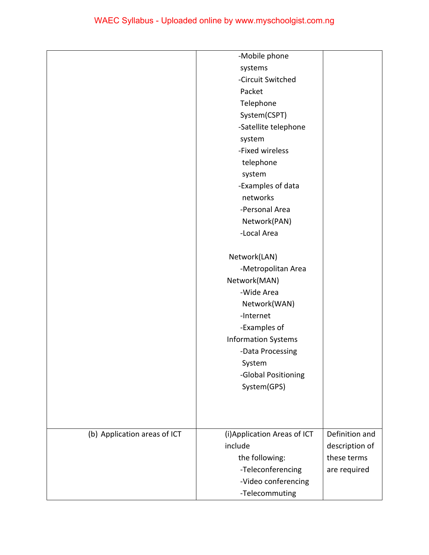|                              | -Mobile phone                |                |
|------------------------------|------------------------------|----------------|
|                              | systems                      |                |
|                              | -Circuit Switched            |                |
|                              | Packet                       |                |
|                              | Telephone                    |                |
|                              | System(CSPT)                 |                |
|                              | -Satellite telephone         |                |
|                              | system                       |                |
|                              | -Fixed wireless              |                |
|                              | telephone                    |                |
|                              | system                       |                |
|                              | -Examples of data            |                |
|                              | networks                     |                |
|                              | -Personal Area               |                |
|                              | Network(PAN)                 |                |
|                              | -Local Area                  |                |
|                              |                              |                |
|                              | Network(LAN)                 |                |
|                              | -Metropolitan Area           |                |
|                              | Network(MAN)                 |                |
|                              | -Wide Area                   |                |
|                              | Network(WAN)                 |                |
|                              | -Internet                    |                |
|                              | -Examples of                 |                |
|                              | <b>Information Systems</b>   |                |
|                              | -Data Processing             |                |
|                              | System                       |                |
|                              | -Global Positioning          |                |
|                              | System(GPS)                  |                |
|                              |                              |                |
|                              |                              |                |
|                              |                              |                |
| (b) Application areas of ICT | (i) Application Areas of ICT | Definition and |
|                              | include                      | description of |
|                              | the following:               | these terms    |
|                              | -Teleconferencing            | are required   |
|                              | -Video conferencing          |                |
|                              | -Telecommuting               |                |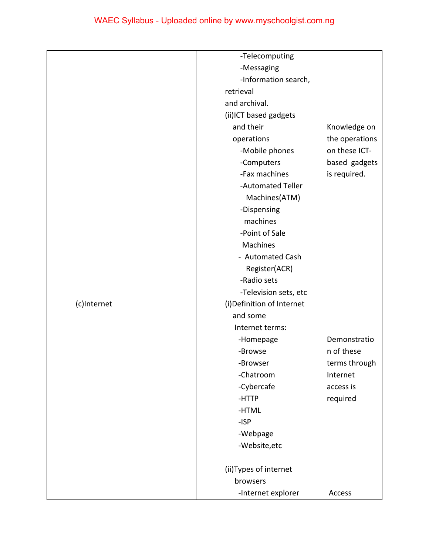|             | -Telecomputing             |                |
|-------------|----------------------------|----------------|
|             | -Messaging                 |                |
|             | -Information search,       |                |
|             | retrieval                  |                |
|             | and archival.              |                |
|             | (ii)ICT based gadgets      |                |
|             | and their                  | Knowledge on   |
|             | operations                 | the operations |
|             | -Mobile phones             | on these ICT-  |
|             | -Computers                 | based gadgets  |
|             | -Fax machines              | is required.   |
|             | -Automated Teller          |                |
|             | Machines(ATM)              |                |
|             | -Dispensing                |                |
|             | machines                   |                |
|             | -Point of Sale             |                |
|             | Machines                   |                |
|             | - Automated Cash           |                |
|             | Register(ACR)              |                |
|             | -Radio sets                |                |
|             | -Television sets, etc      |                |
| (c)Internet | (i) Definition of Internet |                |
|             | and some                   |                |
|             | Internet terms:            |                |
|             | -Homepage                  | Demonstratio   |
|             | -Browse                    | n of these     |
|             | -Browser                   | terms through  |
|             | -Chatroom                  | Internet       |
|             | -Cybercafe                 | access is      |
|             | -HTTP                      | required       |
|             | -HTML                      |                |
|             | $-ISP$                     |                |
|             | -Webpage                   |                |
|             | -Website, etc              |                |
|             |                            |                |
|             | (ii) Types of internet     |                |
|             | browsers                   |                |
|             | -Internet explorer         | Access         |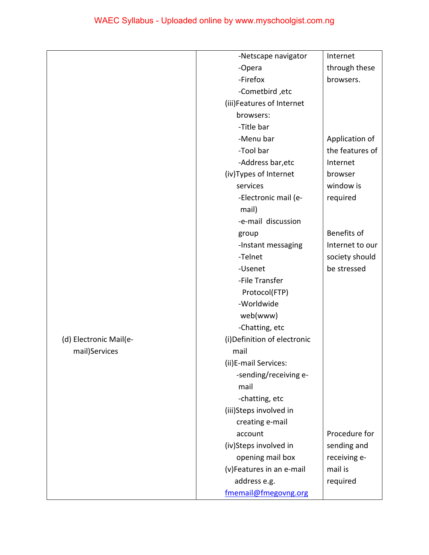|                        | -Netscape navigator          | Internet        |
|------------------------|------------------------------|-----------------|
|                        | -Opera                       | through these   |
|                        | -Firefox                     | browsers.       |
|                        | -Cometbird, etc              |                 |
|                        | (iii)Features of Internet    |                 |
|                        | browsers:                    |                 |
|                        | -Title bar                   |                 |
|                        | -Menu bar                    | Application of  |
|                        | -Tool bar                    | the features of |
|                        | -Address bar, etc            | Internet        |
|                        | (iv)Types of Internet        | browser         |
|                        | services                     | window is       |
|                        | -Electronic mail (e-         | required        |
|                        | mail)                        |                 |
|                        | -e-mail discussion           |                 |
|                        | group                        | Benefits of     |
|                        | -Instant messaging           | Internet to our |
|                        | -Telnet                      | society should  |
|                        | -Usenet                      | be stressed     |
|                        | -File Transfer               |                 |
|                        | Protocol(FTP)                |                 |
|                        | -Worldwide                   |                 |
|                        | web(www)                     |                 |
|                        | -Chatting, etc               |                 |
| (d) Electronic Mail(e- | (i) Definition of electronic |                 |
| mail)Services          | mail                         |                 |
|                        | (ii)E-mail Services:         |                 |
|                        | -sending/receiving e-        |                 |
|                        | mail                         |                 |
|                        | -chatting, etc               |                 |
|                        | (iii)Steps involved in       |                 |
|                        | creating e-mail              |                 |
|                        | account                      | Procedure for   |
|                        | (iv)Steps involved in        | sending and     |
|                        | opening mail box             | receiving e-    |
|                        | (v)Features in an e-mail     | mail is         |
|                        | address e.g.                 | required        |
|                        | fmemail@fmegovng.org         |                 |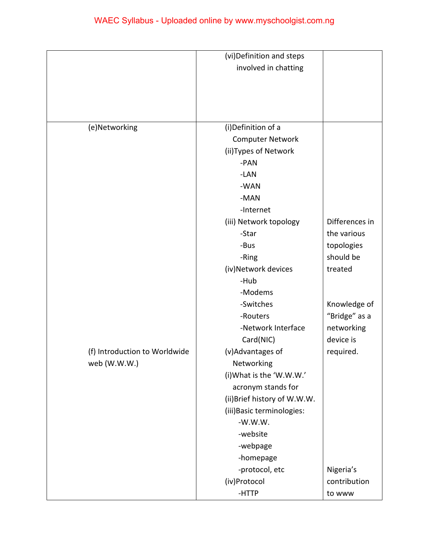| (i)Definition of a      |                                                                                                                                                                                                                                                                                                                                                                                                                                                   |
|-------------------------|---------------------------------------------------------------------------------------------------------------------------------------------------------------------------------------------------------------------------------------------------------------------------------------------------------------------------------------------------------------------------------------------------------------------------------------------------|
| <b>Computer Network</b> |                                                                                                                                                                                                                                                                                                                                                                                                                                                   |
| (ii) Types of Network   |                                                                                                                                                                                                                                                                                                                                                                                                                                                   |
| -PAN                    |                                                                                                                                                                                                                                                                                                                                                                                                                                                   |
| -LAN                    |                                                                                                                                                                                                                                                                                                                                                                                                                                                   |
| -WAN                    |                                                                                                                                                                                                                                                                                                                                                                                                                                                   |
| -MAN                    |                                                                                                                                                                                                                                                                                                                                                                                                                                                   |
| -Internet               |                                                                                                                                                                                                                                                                                                                                                                                                                                                   |
|                         | Differences in                                                                                                                                                                                                                                                                                                                                                                                                                                    |
|                         | the various                                                                                                                                                                                                                                                                                                                                                                                                                                       |
|                         | topologies                                                                                                                                                                                                                                                                                                                                                                                                                                        |
|                         | should be                                                                                                                                                                                                                                                                                                                                                                                                                                         |
|                         | treated                                                                                                                                                                                                                                                                                                                                                                                                                                           |
|                         |                                                                                                                                                                                                                                                                                                                                                                                                                                                   |
|                         |                                                                                                                                                                                                                                                                                                                                                                                                                                                   |
|                         | Knowledge of                                                                                                                                                                                                                                                                                                                                                                                                                                      |
|                         | "Bridge" as a                                                                                                                                                                                                                                                                                                                                                                                                                                     |
|                         | networking                                                                                                                                                                                                                                                                                                                                                                                                                                        |
|                         | device is                                                                                                                                                                                                                                                                                                                                                                                                                                         |
|                         | required.                                                                                                                                                                                                                                                                                                                                                                                                                                         |
|                         |                                                                                                                                                                                                                                                                                                                                                                                                                                                   |
|                         |                                                                                                                                                                                                                                                                                                                                                                                                                                                   |
|                         |                                                                                                                                                                                                                                                                                                                                                                                                                                                   |
|                         |                                                                                                                                                                                                                                                                                                                                                                                                                                                   |
|                         |                                                                                                                                                                                                                                                                                                                                                                                                                                                   |
|                         |                                                                                                                                                                                                                                                                                                                                                                                                                                                   |
|                         |                                                                                                                                                                                                                                                                                                                                                                                                                                                   |
|                         |                                                                                                                                                                                                                                                                                                                                                                                                                                                   |
|                         |                                                                                                                                                                                                                                                                                                                                                                                                                                                   |
|                         | Nigeria's                                                                                                                                                                                                                                                                                                                                                                                                                                         |
|                         | contribution                                                                                                                                                                                                                                                                                                                                                                                                                                      |
|                         |                                                                                                                                                                                                                                                                                                                                                                                                                                                   |
|                         | (vi) Definition and steps<br>involved in chatting<br>(iii) Network topology<br>-Star<br>-Bus<br>-Ring<br>(iv)Network devices<br>-Hub<br>-Modems<br>-Switches<br>-Routers<br>-Network Interface<br>Card(NIC)<br>(v)Advantages of<br>Networking<br>(i) What is the 'W.W.W.'<br>acronym stands for<br>(ii) Brief history of W.W.W.<br>(iii) Basic terminologies:<br>$-W.W.W.$<br>-website<br>-webpage<br>-homepage<br>-protocol, etc<br>(iv)Protocol |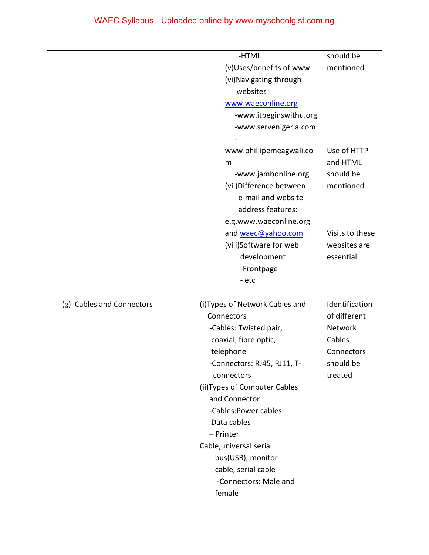|                           | -HTML                           | should be       |
|---------------------------|---------------------------------|-----------------|
|                           | (v)Uses/benefits of www         | mentioned       |
|                           | (vi) Navigating through         |                 |
|                           | websites                        |                 |
|                           | www.waeconline.org              |                 |
|                           | -www.itbeginswithu.org          |                 |
|                           | -www.servenigeria.com           |                 |
|                           |                                 |                 |
|                           | www.phillipemeagwali.co         | Use of HTTP     |
|                           | m                               | and HTML        |
|                           | -www.jambonline.org             | should be       |
|                           | (vii) Difference between        | mentioned       |
|                           | e-mail and website              |                 |
|                           | address features:               |                 |
|                           | e.g.www.waeconline.org          |                 |
|                           | and waec@yahoo.com              | Visits to these |
|                           | (viii)Software for web          | websites are    |
|                           | development                     | essential       |
|                           | -Frontpage                      |                 |
|                           | - etc                           |                 |
|                           |                                 |                 |
| (g) Cables and Connectors | (i) Types of Network Cables and | Identification  |
|                           | Connectors                      | of different    |
|                           | -Cables: Twisted pair,          | Network         |
|                           | coaxial, fibre optic,           | Cables          |
|                           | telephone                       | Connectors      |
|                           | -Connectors: RJ45, RJ11, T-     | should be       |
|                           | connectors                      | treated         |
|                           | (ii) Types of Computer Cables   |                 |
|                           | and Connector                   |                 |
|                           | -Cables: Power cables           |                 |
|                           | Data cables                     |                 |
|                           | - Printer                       |                 |
|                           | Cable, universal serial         |                 |
|                           | bus(USB), monitor               |                 |
|                           | cable, serial cable             |                 |
|                           | -Connectors: Male and           |                 |
|                           | female                          |                 |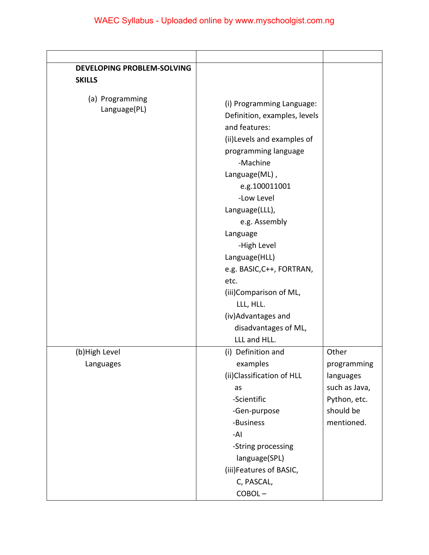| <b>DEVELOPING PROBLEM-SOLVING</b> |                                                                                                                                                                                                                                                                                                                                                                                                         |                                                                                      |
|-----------------------------------|---------------------------------------------------------------------------------------------------------------------------------------------------------------------------------------------------------------------------------------------------------------------------------------------------------------------------------------------------------------------------------------------------------|--------------------------------------------------------------------------------------|
| <b>SKILLS</b>                     |                                                                                                                                                                                                                                                                                                                                                                                                         |                                                                                      |
| (a) Programming<br>Language(PL)   | (i) Programming Language:<br>Definition, examples, levels<br>and features:<br>(ii) Levels and examples of<br>programming language<br>-Machine<br>Language(ML),<br>e.g.100011001<br>-Low Level<br>Language(LLL),<br>e.g. Assembly<br>Language<br>-High Level<br>Language(HLL)<br>e.g. BASIC, C++, FORTRAN,<br>etc.<br>(iii)Comparison of ML,<br>LLL, HLL.<br>(iv) Advantages and<br>disadvantages of ML, |                                                                                      |
| (b) High Level                    | LLL and HLL.<br>(i) Definition and                                                                                                                                                                                                                                                                                                                                                                      | Other                                                                                |
| Languages                         | examples<br>(ii) Classification of HLL<br>as<br>-Scientific<br>-Gen-purpose<br>-Business<br>-AI<br>-String processing<br>language(SPL)<br>(iii)Features of BASIC,<br>C, PASCAL,<br>COBOL-                                                                                                                                                                                                               | programming<br>languages<br>such as Java,<br>Python, etc.<br>should be<br>mentioned. |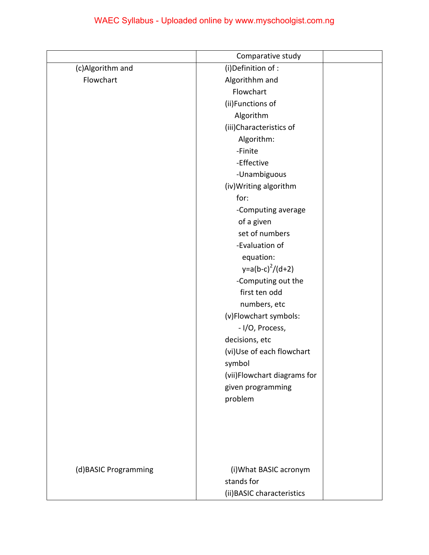|                      | Comparative study           |  |
|----------------------|-----------------------------|--|
| (c)Algorithm and     | (i) Definition of :         |  |
| Flowchart            | Algorithhm and              |  |
|                      | Flowchart                   |  |
|                      | (ii)Functions of            |  |
|                      | Algorithm                   |  |
|                      | (iii)Characteristics of     |  |
|                      | Algorithm:                  |  |
|                      | -Finite                     |  |
|                      | -Effective                  |  |
|                      | -Unambiguous                |  |
|                      | (iv) Writing algorithm      |  |
|                      | for:                        |  |
|                      | -Computing average          |  |
|                      | of a given                  |  |
|                      | set of numbers              |  |
|                      | -Evaluation of              |  |
|                      | equation:                   |  |
|                      | $y=a(b-c)^{2}/(d+2)$        |  |
|                      | -Computing out the          |  |
|                      | first ten odd               |  |
|                      | numbers, etc                |  |
|                      | (v)Flowchart symbols:       |  |
|                      | - I/O, Process,             |  |
|                      | decisions, etc              |  |
|                      | (vi)Use of each flowchart   |  |
|                      | symbol                      |  |
|                      | (vii)Flowchart diagrams for |  |
|                      | given programming           |  |
|                      | problem                     |  |
|                      |                             |  |
|                      |                             |  |
|                      |                             |  |
|                      |                             |  |
|                      |                             |  |
| (d)BASIC Programming | (i) What BASIC acronym      |  |
|                      | stands for                  |  |
|                      | (ii) BASIC characteristics  |  |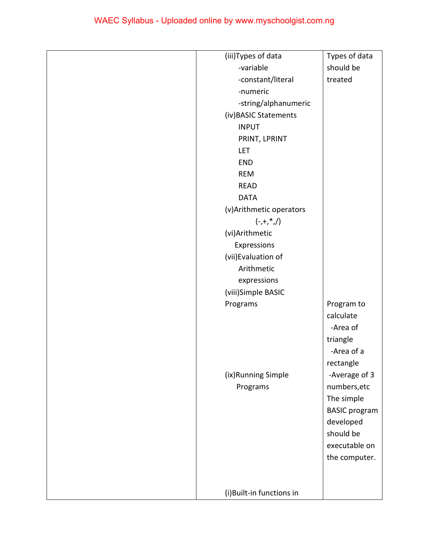| (iii)Types of data       | Types of data        |
|--------------------------|----------------------|
| -variable                | should be            |
| -constant/literal        | treated              |
| -numeric                 |                      |
| -string/alphanumeric     |                      |
| (iv) BASIC Statements    |                      |
| <b>INPUT</b>             |                      |
| PRINT, LPRINT            |                      |
| <b>LET</b>               |                      |
| <b>END</b>               |                      |
| <b>REM</b>               |                      |
| <b>READ</b>              |                      |
| <b>DATA</b>              |                      |
| (v) Arithmetic operators |                      |
| $(-,+,*,/)$              |                      |
| (vi)Arithmetic           |                      |
| Expressions              |                      |
| (vii) Evaluation of      |                      |
| Arithmetic               |                      |
| expressions              |                      |
| (viii)Simple BASIC       |                      |
| Programs                 | Program to           |
|                          | calculate            |
|                          | -Area of             |
|                          | triangle             |
|                          | -Area of a           |
|                          | rectangle            |
| (ix)Running Simple       | -Average of 3        |
| Programs                 | numbers, etc         |
|                          | The simple           |
|                          | <b>BASIC</b> program |
|                          | developed            |
|                          | should be            |
|                          | executable on        |
|                          | the computer.        |
|                          |                      |
|                          |                      |
| (i)Built-in functions in |                      |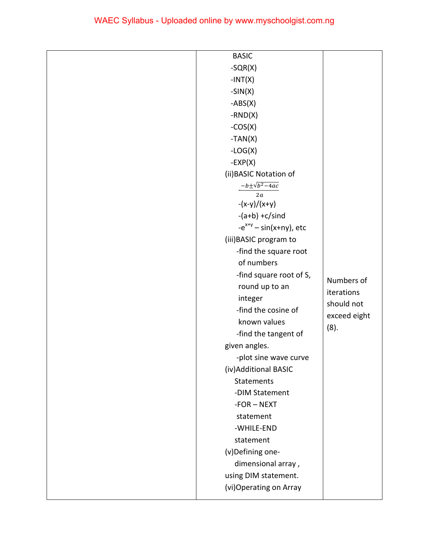| $-SQR(X)$<br>$-INT(X)$<br>$-SIN(X)$<br>$-ABS(X)$<br>$-RND(X)$<br>$-COS(X)$<br>$-TAN(X)$<br>$-LOG(X)$<br>$-EXP(X)$<br>(ii) BASIC Notation of<br>$-b \pm \sqrt{b^2-4ac}$<br>2a<br>$-(x-y)/(x+y)$ |
|------------------------------------------------------------------------------------------------------------------------------------------------------------------------------------------------|
|                                                                                                                                                                                                |
|                                                                                                                                                                                                |
|                                                                                                                                                                                                |
|                                                                                                                                                                                                |
|                                                                                                                                                                                                |
|                                                                                                                                                                                                |
|                                                                                                                                                                                                |
|                                                                                                                                                                                                |
|                                                                                                                                                                                                |
|                                                                                                                                                                                                |
|                                                                                                                                                                                                |
|                                                                                                                                                                                                |
| $-(a+b) + c/s$ ind                                                                                                                                                                             |
| $-e^{x+y}$ – sin(x+ny), etc                                                                                                                                                                    |
| (iii) BASIC program to                                                                                                                                                                         |
| -find the square root                                                                                                                                                                          |
| of numbers                                                                                                                                                                                     |
| -find square root of S,                                                                                                                                                                        |
| Numbers of<br>round up to an                                                                                                                                                                   |
| iterations<br>integer                                                                                                                                                                          |
| should not<br>-find the cosine of                                                                                                                                                              |
| exceed eight<br>known values                                                                                                                                                                   |
| (8).<br>-find the tangent of                                                                                                                                                                   |
| given angles.                                                                                                                                                                                  |
| -plot sine wave curve                                                                                                                                                                          |
| (iv) Additional BASIC                                                                                                                                                                          |
| Statements                                                                                                                                                                                     |
| -DIM Statement                                                                                                                                                                                 |
| $-FOR - NEXT$                                                                                                                                                                                  |
| statement                                                                                                                                                                                      |
| -WHILE-END                                                                                                                                                                                     |
| statement                                                                                                                                                                                      |
| (v)Defining one-                                                                                                                                                                               |
| dimensional array,                                                                                                                                                                             |
| using DIM statement.                                                                                                                                                                           |
| (vi) Operating on Array                                                                                                                                                                        |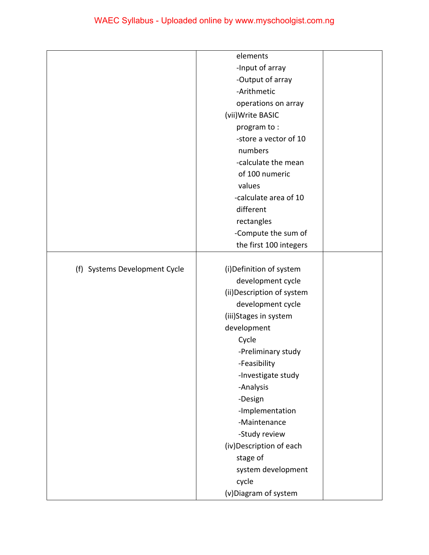|                               | elements                   |  |
|-------------------------------|----------------------------|--|
|                               | -Input of array            |  |
|                               | -Output of array           |  |
|                               | -Arithmetic                |  |
|                               | operations on array        |  |
|                               | (vii) Write BASIC          |  |
|                               | program to:                |  |
|                               | -store a vector of 10      |  |
|                               | numbers                    |  |
|                               | -calculate the mean        |  |
|                               | of 100 numeric             |  |
|                               | values                     |  |
|                               | -calculate area of 10      |  |
|                               | different                  |  |
|                               |                            |  |
|                               | rectangles                 |  |
|                               | -Compute the sum of        |  |
|                               | the first 100 integers     |  |
|                               |                            |  |
| (f) Systems Development Cycle | (i) Definition of system   |  |
|                               | development cycle          |  |
|                               | (ii) Description of system |  |
|                               | development cycle          |  |
|                               | (iii)Stages in system      |  |
|                               | development                |  |
|                               | Cycle                      |  |
|                               | -Preliminary study         |  |
|                               | -Feasibility               |  |
|                               | -Investigate study         |  |
|                               | -Analysis                  |  |
|                               | -Design                    |  |
|                               | -Implementation            |  |
|                               | -Maintenance               |  |
|                               | -Study review              |  |
|                               | (iv) Description of each   |  |
|                               | stage of                   |  |
|                               | system development         |  |
|                               | cycle                      |  |
|                               | (v)Diagram of system       |  |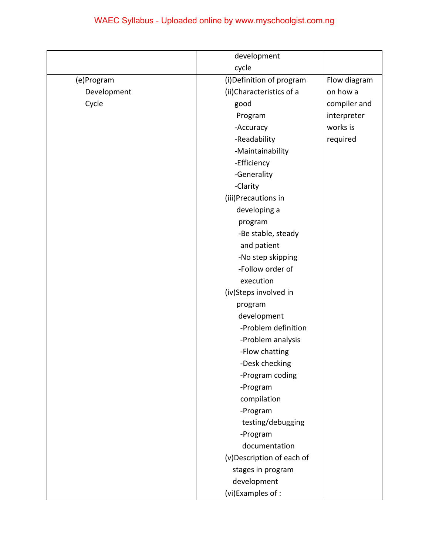|             | development               |              |
|-------------|---------------------------|--------------|
|             | cycle                     |              |
| (e)Program  | (i) Definition of program | Flow diagram |
| Development | (ii)Characteristics of a  | on how a     |
| Cycle       | good                      | compiler and |
|             | Program                   | interpreter  |
|             | -Accuracy                 | works is     |
|             | -Readability              | required     |
|             | -Maintainability          |              |
|             | -Efficiency               |              |
|             | -Generality               |              |
|             | -Clarity                  |              |
|             | (iii)Precautions in       |              |
|             | developing a              |              |
|             | program                   |              |
|             | -Be stable, steady        |              |
|             | and patient               |              |
|             | -No step skipping         |              |
|             | -Follow order of          |              |
|             | execution                 |              |
|             | (iv)Steps involved in     |              |
|             | program                   |              |
|             | development               |              |
|             | -Problem definition       |              |
|             | -Problem analysis         |              |
|             | -Flow chatting            |              |
|             | -Desk checking            |              |
|             | -Program coding           |              |
|             | -Program                  |              |
|             | compilation               |              |
|             | -Program                  |              |
|             | testing/debugging         |              |
|             | -Program                  |              |
|             | documentation             |              |
|             | (v)Description of each of |              |
|             | stages in program         |              |
|             | development               |              |
|             | (vi)Examples of :         |              |